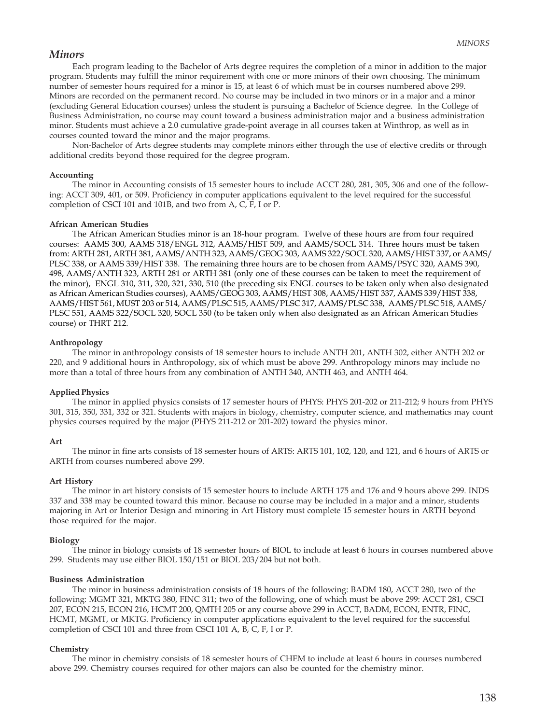# *Minors*

Each program leading to the Bachelor of Arts degree requires the completion of a minor in addition to the major program. Students may fulfill the minor requirement with one or more minors of their own choosing. The minimum number of semester hours required for a minor is 15, at least 6 of which must be in courses numbered above 299. Minors are recorded on the permanent record. No course may be included in two minors or in a major and a minor (excluding General Education courses) unless the student is pursuing a Bachelor of Science degree. In the College of Business Administration, no course may count toward a business administration major and a business administration minor. Students must achieve a 2.0 cumulative grade-point average in all courses taken at Winthrop, as well as in courses counted toward the minor and the major programs.

Non-Bachelor of Arts degree students may complete minors either through the use of elective credits or through additional credits beyond those required for the degree program.

### **Accounting**

The minor in Accounting consists of 15 semester hours to include ACCT 280, 281, 305, 306 and one of the following: ACCT 309, 401, or 509. Proficiency in computer applications equivalent to the level required for the successful completion of CSCI 101 and 101B, and two from A, C, F, I or P.

### **African American Studies**

The African American Studies minor is an 18-hour program. Twelve of these hours are from four required courses: AAMS 300, AAMS 318/ENGL 312, AAMS/HIST 509, and AAMS/SOCL 314. Three hours must be taken from: ARTH 281, ARTH 381, AAMS/ANTH 323, AAMS/GEOG 303, AAMS 322/SOCL 320, AAMS/HIST 337, or AAMS/ PLSC 338, or AAMS 339/HIST 338. The remaining three hours are to be chosen from AAMS/PSYC 320, AAMS 390, 498, AAMS/ANTH 323, ARTH 281 or ARTH 381 (only one of these courses can be taken to meet the requirement of the minor), ENGL 310, 311, 320, 321, 330, 510 (the preceding six ENGL courses to be taken only when also designated as African American Studies courses), AAMS/GEOG 303, AAMS/HIST 308, AAMS/HIST 337, AAMS 339/HIST 338, AAMS/HIST 561, MUST 203 or 514, AAMS/PLSC 515, AAMS/PLSC 317, AAMS/PLSC 338, AAMS/PLSC 518, AAMS/ PLSC 551, AAMS 322/SOCL 320, SOCL 350 (to be taken only when also designated as an African American Studies course) or THRT 212.

## **Anthropology**

The minor in anthropology consists of 18 semester hours to include ANTH 201, ANTH 302, either ANTH 202 or 220, and 9 additional hours in Anthropology, six of which must be above 299. Anthropology minors may include no more than a total of three hours from any combination of ANTH 340, ANTH 463, and ANTH 464.

# **Applied Physics**

The minor in applied physics consists of 17 semester hours of PHYS: PHYS 201-202 or 211-212; 9 hours from PHYS 301, 315, 350, 331, 332 or 321. Students with majors in biology, chemistry, computer science, and mathematics may count physics courses required by the major (PHYS 211-212 or 201-202) toward the physics minor.

### **Art**

The minor in fine arts consists of 18 semester hours of ARTS: ARTS 101, 102, 120, and 121, and 6 hours of ARTS or ARTH from courses numbered above 299.

### **Art History**

The minor in art history consists of 15 semester hours to include ARTH 175 and 176 and 9 hours above 299. INDS 337 and 338 may be counted toward this minor. Because no course may be included in a major and a minor, students majoring in Art or Interior Design and minoring in Art History must complete 15 semester hours in ARTH beyond those required for the major.

### **Biology**

The minor in biology consists of 18 semester hours of BIOL to include at least 6 hours in courses numbered above 299. Students may use either BIOL 150/151 or BIOL 203/204 but not both.

### **Business Administration**

The minor in business administration consists of 18 hours of the following: BADM 180, ACCT 280, two of the following: MGMT 321, MKTG 380, FINC 311; two of the following, one of which must be above 299: ACCT 281, CSCI 207, ECON 215, ECON 216, HCMT 200, QMTH 205 or any course above 299 in ACCT, BADM, ECON, ENTR, FINC, HCMT, MGMT, or MKTG. Proficiency in computer applications equivalent to the level required for the successful completion of CSCI 101 and three from CSCI 101 A, B, C, F, I or P.

### **Chemistry**

The minor in chemistry consists of 18 semester hours of CHEM to include at least 6 hours in courses numbered above 299. Chemistry courses required for other majors can also be counted for the chemistry minor.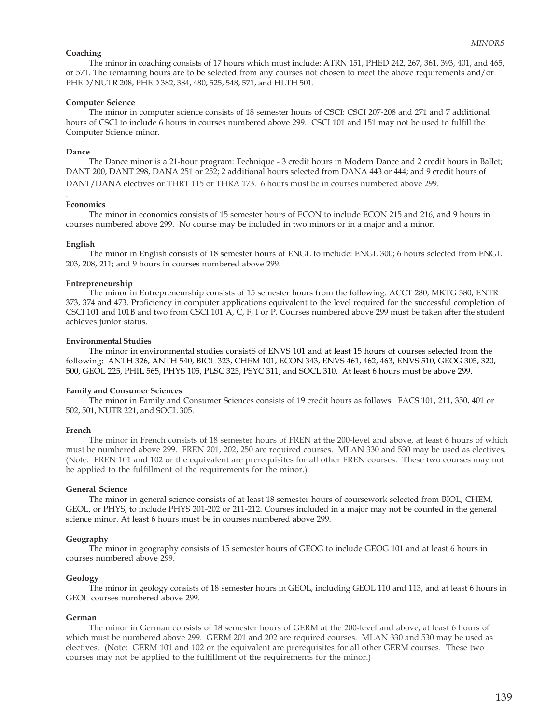### **Coaching**

The minor in coaching consists of 17 hours which must include: ATRN 151, PHED 242, 267, 361, 393, 401, and 465, or 571. The remaining hours are to be selected from any courses not chosen to meet the above requirements and/or PHED/NUTR 208, PHED 382, 384, 480, 525, 548, 571, and HLTH 501.

## **Computer Science**

The minor in computer science consists of 18 semester hours of CSCI: CSCI 207-208 and 271 and 7 additional hours of CSCI to include 6 hours in courses numbered above 299. CSCI 101 and 151 may not be used to fulfill the Computer Science minor.

# **Dance**

The Dance minor is a 21-hour program: Technique - 3 credit hours in Modern Dance and 2 credit hours in Ballet; DANT 200, DANT 298, DANA 251 or 252; 2 additional hours selected from DANA 443 or 444; and 9 credit hours of DANT/DANA electives or THRT 115 or THRA 173. 6 hours must be in courses numbered above 299.

#### . **Economics**

The minor in economics consists of 15 semester hours of ECON to include ECON 215 and 216, and 9 hours in courses numbered above 299. No course may be included in two minors or in a major and a minor.

## **English**

The minor in English consists of 18 semester hours of ENGL to include: ENGL 300; 6 hours selected from ENGL 203, 208, 211; and 9 hours in courses numbered above 299.

## **Entrepreneurship**

The minor in Entrepreneurship consists of 15 semester hours from the following: ACCT 280, MKTG 380, ENTR 373, 374 and 473. Proficiency in computer applications equivalent to the level required for the successful completion of CSCI 101 and 101B and two from CSCI 101 A, C, F, I or P. Courses numbered above 299 must be taken after the student achieves junior status.

## **Environmental Studies**

The minor in environmental studies consistS of ENVS 101 and at least 15 hours of courses selected from the following: ANTH 326, ANTH 540, BIOL 323, CHEM 101, ECON 343, ENVS 461, 462, 463, ENVS 510, GEOG 305, 320, 500, GEOL 225, PHIL 565, PHYS 105, PLSC 325, PSYC 311, and SOCL 310. At least 6 hours must be above 299.

## **Family and Consumer Sciences**

The minor in Family and Consumer Sciences consists of 19 credit hours as follows: FACS 101, 211, 350, 401 or 502, 501, NUTR 221, and SOCL 305.

# **French**

The minor in French consists of 18 semester hours of FREN at the 200-level and above, at least 6 hours of which must be numbered above 299. FREN 201, 202, 250 are required courses. MLAN 330 and 530 may be used as electives. (Note: FREN 101 and 102 or the equivalent are prerequisites for all other FREN courses. These two courses may not be applied to the fulfillment of the requirements for the minor.)

### **General Science**

The minor in general science consists of at least 18 semester hours of coursework selected from BIOL, CHEM, GEOL, or PHYS, to include PHYS 201-202 or 211-212. Courses included in a major may not be counted in the general science minor. At least 6 hours must be in courses numbered above 299.

### **Geography**

The minor in geography consists of 15 semester hours of GEOG to include GEOG 101 and at least 6 hours in courses numbered above 299.

## **Geology**

The minor in geology consists of 18 semester hours in GEOL, including GEOL 110 and 113, and at least 6 hours in GEOL courses numbered above 299.

# **German**

The minor in German consists of 18 semester hours of GERM at the 200-level and above, at least 6 hours of which must be numbered above 299. GERM 201 and 202 are required courses. MLAN 330 and 530 may be used as electives. (Note: GERM 101 and 102 or the equivalent are prerequisites for all other GERM courses. These two courses may not be applied to the fulfillment of the requirements for the minor.)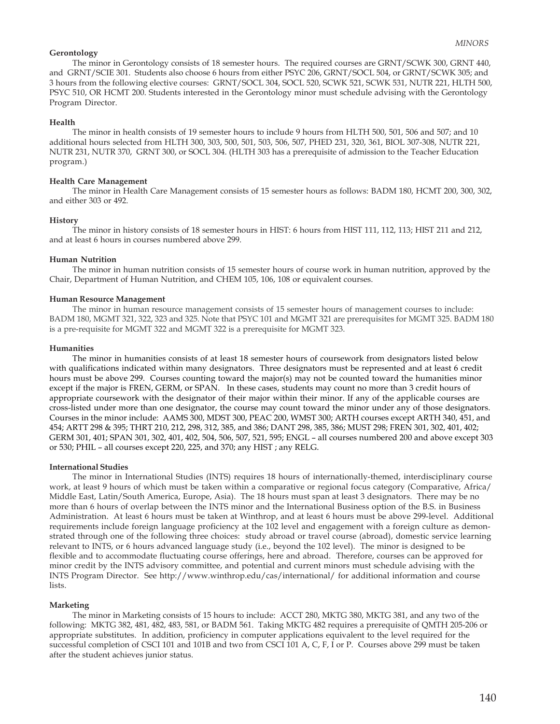## **Gerontology**

The minor in Gerontology consists of 18 semester hours. The required courses are GRNT/SCWK 300, GRNT 440, and GRNT/SCIE 301. Students also choose 6 hours from either PSYC 206, GRNT/SOCL 504, or GRNT/SCWK 305; and 3 hours from the following elective courses: GRNT/SOCL 304, SOCL 520, SCWK 521, SCWK 531, NUTR 221, HLTH 500, PSYC 510, OR HCMT 200. Students interested in the Gerontology minor must schedule advising with the Gerontology Program Director.

## **Health**

The minor in health consists of 19 semester hours to include 9 hours from HLTH 500, 501, 506 and 507; and 10 additional hours selected from HLTH 300, 303, 500, 501, 503, 506, 507, PHED 231, 320, 361, BIOL 307-308, NUTR 221, NUTR 231, NUTR 370, GRNT 300, or SOCL 304. (HLTH 303 has a prerequisite of admission to the Teacher Education program.)

### **Health Care Management**

The minor in Health Care Management consists of 15 semester hours as follows: BADM 180, HCMT 200, 300, 302, and either 303 or 492.

## **History**

The minor in history consists of 18 semester hours in HIST: 6 hours from HIST 111, 112, 113; HIST 211 and 212, and at least 6 hours in courses numbered above 299.

## **Human Nutrition**

The minor in human nutrition consists of 15 semester hours of course work in human nutrition, approved by the Chair, Department of Human Nutrition, and CHEM 105, 106, 108 or equivalent courses.

### **Human Resource Management**

The minor in human resource management consists of 15 semester hours of management courses to include: BADM 180, MGMT 321, 322, 323 and 325. Note that PSYC 101 and MGMT 321 are prerequisites for MGMT 325. BADM 180 is a pre-requisite for MGMT 322 and MGMT 322 is a prerequisite for MGMT 323.

## **Humanities**

The minor in humanities consists of at least 18 semester hours of coursework from designators listed below with qualifications indicated within many designators. Three designators must be represented and at least 6 credit hours must be above 299. Courses counting toward the major(s) may not be counted toward the humanities minor except if the major is FREN, GERM, or SPAN. In these cases, students may count no more than 3 credit hours of appropriate coursework with the designator of their major within their minor. If any of the applicable courses are cross-listed under more than one designator, the course may count toward the minor under any of those designators. Courses in the minor include: AAMS 300, MDST 300, PEAC 200, WMST 300; ARTH courses except ARTH 340, 451, and 454; ARTT 298 & 395; THRT 210, 212, 298, 312, 385, and 386; DANT 298, 385, 386; MUST 298; FREN 301, 302, 401, 402; GERM 301, 401; SPAN 301, 302, 401, 402, 504, 506, 507, 521, 595; ENGL – all courses numbered 200 and above except 303 or 530; PHIL – all courses except 220, 225, and 370; any HIST ; any RELG.

## **International Studies**

The minor in International Studies (INTS) requires 18 hours of internationally-themed, interdisciplinary course work, at least 9 hours of which must be taken within a comparative or regional focus category (Comparative, Africa/ Middle East, Latin/South America, Europe, Asia). The 18 hours must span at least 3 designators. There may be no more than 6 hours of overlap between the INTS minor and the International Business option of the B.S. in Business Administration. At least 6 hours must be taken at Winthrop, and at least 6 hours must be above 299-level. Additional requirements include foreign language proficiency at the 102 level and engagement with a foreign culture as demonstrated through one of the following three choices: study abroad or travel course (abroad), domestic service learning relevant to INTS, or 6 hours advanced language study (i.e., beyond the 102 level). The minor is designed to be flexible and to accommodate fluctuating course offerings, here and abroad. Therefore, courses can be approved for minor credit by the INTS advisory committee, and potential and current minors must schedule advising with the INTS Program Director. See http://www.winthrop.edu/cas/international/ for additional information and course lists.

# **Marketing**

The minor in Marketing consists of 15 hours to include: ACCT 280, MKTG 380, MKTG 381, and any two of the following: MKTG 382, 481, 482, 483, 581, or BADM 561. Taking MKTG 482 requires a prerequisite of QMTH 205-206 or appropriate substitutes. In addition, proficiency in computer applications equivalent to the level required for the successful completion of CSCI 101 and 101B and two from CSCI 101 A, C, F, I or P. Courses above 299 must be taken after the student achieves junior status.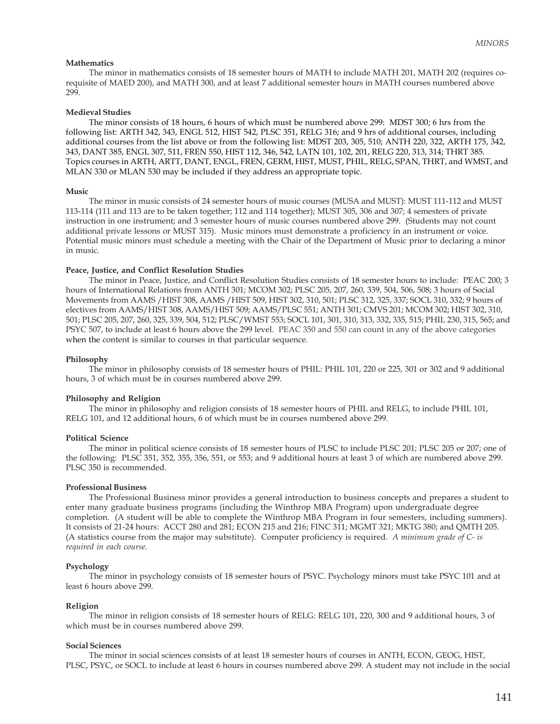#### **Mathematics**

The minor in mathematics consists of 18 semester hours of MATH to include MATH 201, MATH 202 (requires corequisite of MAED 200), and MATH 300, and at least 7 additional semester hours in MATH courses numbered above 299.

## **Medieval Studies**

The minor consists of 18 hours, 6 hours of which must be numbered above 299: MDST 300; 6 hrs from the following list: ARTH 342, 343, ENGL 512, HIST 542, PLSC 351, RELG 316; and 9 hrs of additional courses, including additional courses from the list above or from the following list: MDST 203, 305, 510; ANTH 220, 322, ARTH 175, 342, 343, DANT 385, ENGL 307, 511, FREN 550, HIST 112, 346, 542, LATN 101, 102, 201, RELG 220, 313, 314; THRT 385. Topics courses in ARTH, ARTT, DANT, ENGL, FREN, GERM, HIST, MUST, PHIL, RELG, SPAN, THRT, and WMST, and MLAN 330 or MLAN 530 may be included if they address an appropriate topic.

#### **Music**

The minor in music consists of 24 semester hours of music courses (MUSA and MUST): MUST 111-112 and MUST 113-114 (111 and 113 are to be taken together; 112 and 114 together); MUST 305, 306 and 307; 4 semesters of private instruction in one instrument; and 3 semester hours of music courses numbered above 299. (Students may not count additional private lessons or MUST 315). Music minors must demonstrate a proficiency in an instrument or voice. Potential music minors must schedule a meeting with the Chair of the Department of Music prior to declaring a minor in music.

#### **Peace, Justice, and Conflict Resolution Studies**

The minor in Peace, Justice, and Conflict Resolution Studies consists of 18 semester hours to include: PEAC 200; 3 hours of International Relations from ANTH 301; MCOM 302; PLSC 205, 207, 260, 339, 504, 506, 508; 3 hours of Social Movements from AAMS /HIST 308, AAMS /HIST 509, HIST 302, 310, 501; PLSC 312, 325, 337; SOCL 310, 332; 9 hours of electives from AAMS/HIST 308, AAMS/HIST 509; AAMS/PLSC 551; ANTH 301; CMVS 201; MCOM 302; HIST 302, 310, 501; PLSC 205, 207, 260, 325, 339, 504, 512; PLSC/WMST 553; SOCL 101, 301, 310, 313, 332, 335, 515; PHIL 230, 315, 565; and PSYC 507, to include at least 6 hours above the 299 level. PEAC 350 and 550 can count in any of the above categories when the content is similar to courses in that particular sequence.

#### **Philosophy**

The minor in philosophy consists of 18 semester hours of PHIL: PHIL 101, 220 or 225, 301 or 302 and 9 additional hours, 3 of which must be in courses numbered above 299.

#### **Philosophy and Religion**

The minor in philosophy and religion consists of 18 semester hours of PHIL and RELG, to include PHIL 101, RELG 101, and 12 additional hours, 6 of which must be in courses numbered above 299.

#### **Political Science**

The minor in political science consists of 18 semester hours of PLSC to include PLSC 201; PLSC 205 or 207; one of the following: PLSC 351, 352, 355, 356, 551, or 553; and 9 additional hours at least 3 of which are numbered above 299. PLSC 350 is recommended.

#### **Professional Business**

The Professional Business minor provides a general introduction to business concepts and prepares a student to enter many graduate business programs (including the Winthrop MBA Program) upon undergraduate degree completion. (A student will be able to complete the Winthrop MBA Program in four semesters, including summers). It consists of 21-24 hours: ACCT 280 and 281; ECON 215 and 216; FINC 311; MGMT 321; MKTG 380; and QMTH 205. (A statistics course from the major may substitute). Computer proficiency is required. *A minimum grade of C- is required in each course.*

#### **Psychology**

The minor in psychology consists of 18 semester hours of PSYC. Psychology minors must take PSYC 101 and at least 6 hours above 299.

#### **Religion**

The minor in religion consists of 18 semester hours of RELG: RELG 101, 220, 300 and 9 additional hours, 3 of which must be in courses numbered above 299.

#### **Social Sciences**

The minor in social sciences consists of at least 18 semester hours of courses in ANTH, ECON, GEOG, HIST, PLSC, PSYC, or SOCL to include at least 6 hours in courses numbered above 299. A student may not include in the social